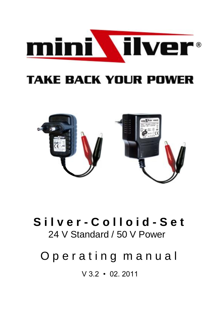

# **TAKE BACK YOUR POWER**



# **S i l v e r - C o l l o i d - S e t** 24 V Standard / 50 V Power

# Operating manual

V 3.2 • 02. 2011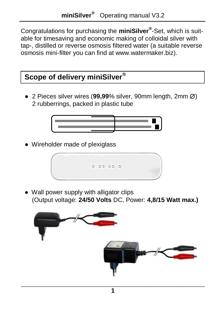Congratulations for purchasing the **miniSilver®** -Set, which is suitable for timesaving and economic making of colloidal silver with tap-, distilled or reverse osmosis filtered water (a suitable reverse osmosis mini-filter you can find at www.watermaker.biz).

# **Scope of delivery miniSilver®**

 $\bullet$  2 Pieces silver wires (99.99% silver, 90mm length, 2mm  $\varnothing$ ) 2 rubberrings, packed in plastic tube



● Wireholder made of plexiglass



● Wall power supply with alligator clips (Output voltage: **24/50 Volts** DC, Power: **4,8/15 Watt max.)**

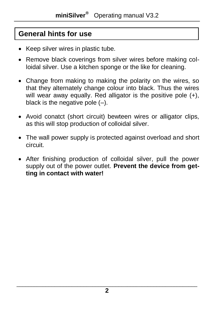# **General hints for use**

- Keep silver wires in plastic tube.
- Remove black coverings from silver wires before making colloidal silver. Use a kitchen sponge or the like for cleaning.
- Change from making to making the polarity on the wires, so that they alternately change colour into black. Thus the wires will wear away equally. Red alligator is the positive pole (+), black is the negative pole  $(-)$ .
- Avoid conatct (short circuit) bewteen wires or alligator clips, as this will stop production of colloidal silver.
- The wall power supply is protected against overload and short circuit.
- After finishing production of colloidal silver, pull the power supply out of the power outlet. **Prevent the device from getting in contact with water!**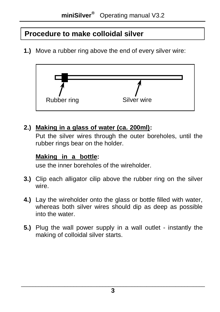# **Procedure to make colloidal silver**

**1.)** Move a rubber ring above the end of every silver wire:



#### 2.) Making in a glass of water (ca. 200ml):

Put the silver wires through the outer boreholes, until the rubber rings bear on the holder.

#### **Making in a bottle:**

use the inner boreholes of the wireholder.

- **3.)** Clip each alligator cilip above the rubber ring on the silver wire.
- **4.)** Lay the wireholder onto the glass or bottle filled with water, whereas both silver wires should dip as deep as possible into the water.
- **5.)** Plug the wall power supply in a wall outlet instantly the making of colloidal silver starts.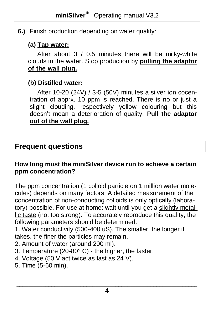#### **6.)** Finish production depending on water quality:

#### **(a) Tap water:**

After about 3 / 0.5 minutes there will be milky-white clouds in the water. Stop production by **pulling the adaptor**  of the wall plug.

## **(b) Distilled water:**

After 10-20 (24V) / 3-5 (50V) minutes a silver ion cocentration of apprx. 10 ppm is reached. There is no or just a slight clouding, respectively yellow colouring but this doesn't mean a deterioration of quality. **Pull the adaptor out of the wall plug.**

## **Frequent questions**

#### **How long must the miniSilver device run to achieve a certain ppm concentration?**

The ppm concentration (1 colloid particle on 1 million water molecules) depends on many factors. A detailed measurement of the concentration of non-conducting colloids is only optically (laboratory) possible. For use at home: wait until you get a slightly metallic taste (not too strong). To accurately reproduce this quality, the following parameters should be determined:

1. Water conductivity (500-400 uS). The smaller, the longer it takes, the finer the particles may remain.

- 2. Amount of water (around 200 ml).
- 3. Temperature (20-80° C) the higher, the faster.
- 4. Voltage (50 V act twice as fast as 24 V).
- 5. Time (5-60 min).